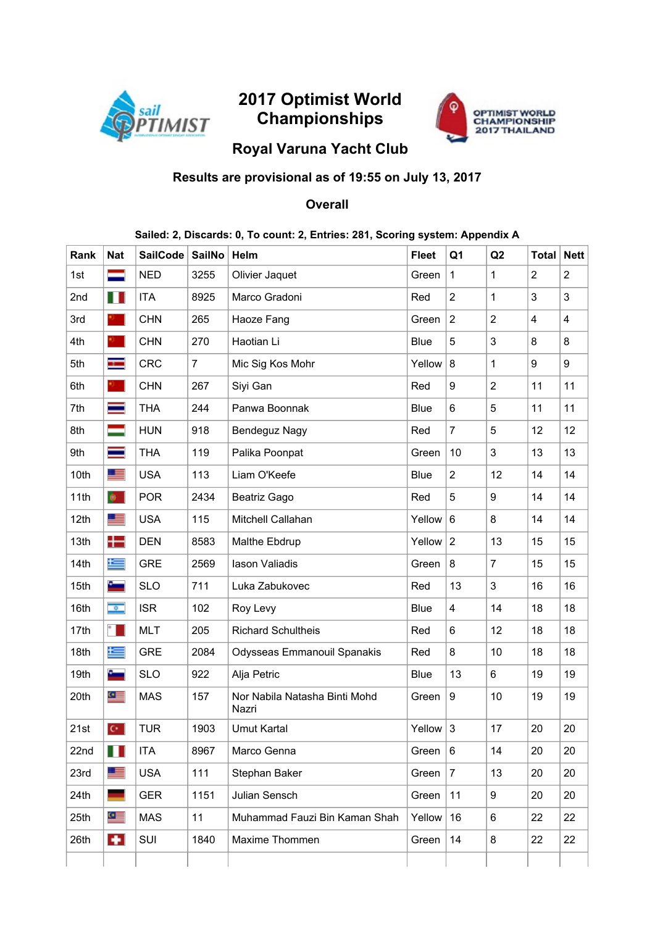

# 2017 Optimist World Championships



## Royal Varuna Yacht Club

## Results are provisional as of 19:55 on July 13, 2017

### **Overall**

#### Sailed: 2, Discards: 0, To count: 2, Entries: 281, Scoring system: Appendix A

| Rank | <b>Nat</b>     | <b>SailCode</b> | <b>SailNo</b>  | Helm                                   | <b>Fleet</b> | Q <sub>1</sub>  | Q2             | <b>Total</b>            | <b>Nett</b>    |
|------|----------------|-----------------|----------------|----------------------------------------|--------------|-----------------|----------------|-------------------------|----------------|
| 1st  | ▅              | <b>NED</b>      | 3255           | Olivier Jaquet                         | Green        | 1               | 1              | $\overline{2}$          | $\overline{2}$ |
| 2nd  | H              | <b>ITA</b>      | 8925           | Marco Gradoni                          | Red          | $\overline{2}$  | 1              | 3                       | 3              |
| 3rd  |                | <b>CHN</b>      | 265            | Haoze Fang                             | Green        | $\overline{c}$  | $\overline{2}$ | $\overline{\mathbf{4}}$ | 4              |
| 4th  |                | <b>CHN</b>      | 270            | Haotian Li                             | Blue         | 5               | 3              | 8                       | 8              |
| 5th  | ÷              | <b>CRC</b>      | $\overline{7}$ | Mic Sig Kos Mohr                       | Yellow       | 8               | 1              | 9                       | 9              |
| 6th  |                | <b>CHN</b>      | 267            | Siyi Gan                               | Red          | 9               | $\overline{2}$ | 11                      | 11             |
| 7th  | ═              | <b>THA</b>      | 244            | Panwa Boonnak                          | Blue         | 6               | 5              | 11                      | 11             |
| 8th  | ═              | <b>HUN</b>      | 918            | Bendeguz Nagy                          | Red          | $\overline{7}$  | 5              | 12                      | 12             |
| 9th  | ≡              | <b>THA</b>      | 119            | Palika Poonpat                         | Green        | 10              | 3              | 13                      | 13             |
| 10th | E              | <b>USA</b>      | 113            | Liam O'Keefe                           | Blue         | $\overline{2}$  | 12             | 14                      | 14             |
| 11th | $\bullet$      | <b>POR</b>      | 2434           | Beatriz Gago                           | Red          | 5               | 9              | 14                      | 14             |
| 12th | ≊              | <b>USA</b>      | 115            | Mitchell Callahan                      | Yellow       | $6\phantom{1}6$ | 8              | 14                      | 14             |
| 13th | $\pm$          | <b>DEN</b>      | 8583           | Malthe Ebdrup                          | Yellow       | 2               | 13             | 15                      | 15             |
| 14th | 写              | <b>GRE</b>      | 2569           | lason Valiadis                         | Green        | 8               | $\overline{7}$ | 15                      | 15             |
| 15th | ست             | <b>SLO</b>      | 711            | Luka Zabukovec                         | Red          | 13              | 3              | 16                      | 16             |
| 16th | $\overline{a}$ | <b>ISR</b>      | 102            | Roy Levy                               | Blue         | 4               | 14             | 18                      | 18             |
| 17th | $\ast$         | <b>MLT</b>      | 205            | <b>Richard Schultheis</b>              | Red          | 6               | 12             | 18                      | 18             |
| 18th | 与              | <b>GRE</b>      | 2084           | Odysseas Emmanouil Spanakis            | Red          | 8               | 10             | 18                      | 18             |
| 19th | ست             | <b>SLO</b>      | 922            | Alja Petric                            | Blue         | 13              | 6              | 19                      | 19             |
| 20th | $\bullet$      | <b>MAS</b>      | 157            | Nor Nabila Natasha Binti Mohd<br>Nazri | Green        | 9               | 10             | 19                      | 19             |
| 21st | $C^*$          | <b>TUR</b>      | 1903           | Umut Kartal                            | Yellow       | $\sqrt{3}$      | 17             | 20                      | 20             |
| 22nd | M              | ITA             | 8967           | Marco Genna                            | Green        | $\,6\,$         | 14             | 20                      | 20             |
| 23rd | 里              | <b>USA</b>      | 111            | Stephan Baker                          | Green        | $\overline{7}$  | 13             | 20                      | 20             |
| 24th | ٠              | <b>GER</b>      | 1151           | Julian Sensch                          | Green        | 11              | 9              | 20                      | 20             |
| 25th | $\bullet$      | <b>MAS</b>      | 11             | Muhammad Fauzi Bin Kaman Shah          | Yellow       | 16              | 6              | 22                      | 22             |
| 26th | $\bullet$      | SUI             | 1840           | Maxime Thommen                         | Green        | 14              | 8              | 22                      | 22             |
|      |                |                 |                |                                        |              |                 |                |                         |                |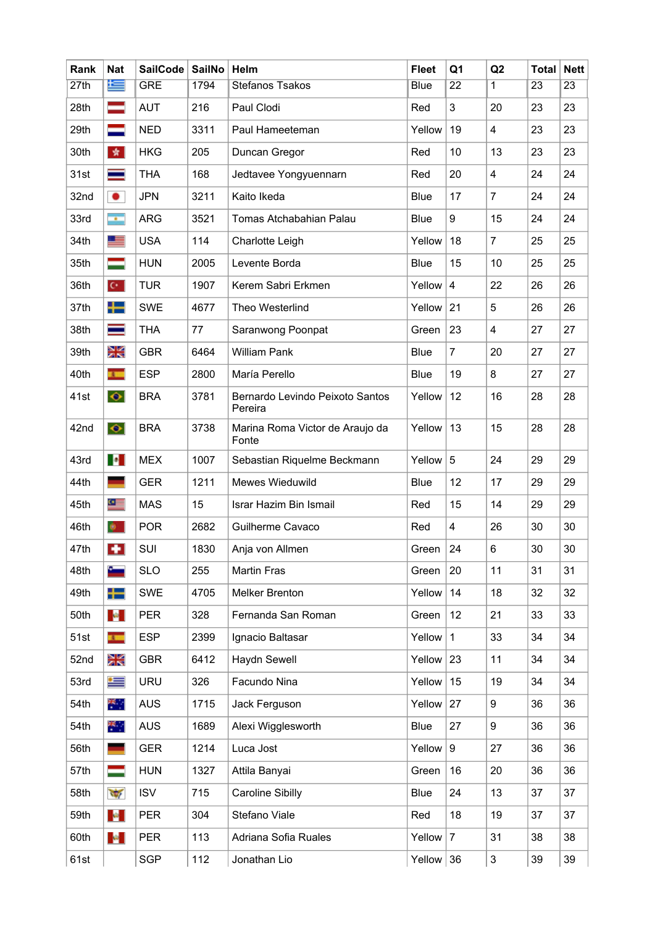| Rank | <b>Nat</b>                  | <b>SailCode</b> | SailNo | Helm                                       | <b>Fleet</b> | Q <sub>1</sub>   | Q2                      | <b>Total</b>    | <b>Nett</b>     |
|------|-----------------------------|-----------------|--------|--------------------------------------------|--------------|------------------|-------------------------|-----------------|-----------------|
| 27th | 隼                           | <b>GRE</b>      | 1794   | Stefanos Tsakos                            | Blue         | $\overline{22}$  | 1                       | $\overline{23}$ | $\overline{23}$ |
| 28th | ᆖ                           | <b>AUT</b>      | 216    | Paul Clodi                                 | Red          | 3                | 20                      | 23              | 23              |
| 29th | $\equiv$                    | <b>NED</b>      | 3311   | Paul Hameeteman                            | Yellow       | 19               | 4                       | 23              | 23              |
| 30th | 女                           | <b>HKG</b>      | 205    | Duncan Gregor                              | Red          | 10               | 13                      | 23              | 23              |
| 31st | ═                           | <b>THA</b>      | 168    | Jedtavee Yongyuennarn                      | Red          | 20               | $\overline{\mathbf{4}}$ | 24              | 24              |
| 32nd | ۰                           | <b>JPN</b>      | 3211   | Kaito Ikeda                                | Blue         | 17               | $\overline{7}$          | 24              | 24              |
| 33rd | $\mathcal{L}_{\mathcal{F}}$ | <b>ARG</b>      | 3521   | Tomas Atchabahian Palau                    | <b>Blue</b>  | 9                | 15                      | 24              | 24              |
| 34th | <u>se</u>                   | <b>USA</b>      | 114    | Charlotte Leigh                            | Yellow       | 18               | $\overline{7}$          | 25              | 25              |
| 35th | ═                           | <b>HUN</b>      | 2005   | Levente Borda                              | Blue         | 15               | 10                      | 25              | 25              |
| 36th | $\mathbf{C}^{\star}$ .      | <b>TUR</b>      | 1907   | Kerem Sabri Erkmen                         | Yellow       | 4                | 22                      | 26              | 26              |
| 37th | ╈═                          | <b>SWE</b>      | 4677   | Theo Westerlind                            | Yellow       | 21               | 5                       | 26              | 26              |
| 38th | ≡                           | <b>THA</b>      | 77     | Saranwong Poonpat                          | Green        | 23               | 4                       | 27              | 27              |
| 39th | Ж                           | <b>GBR</b>      | 6464   | <b>William Pank</b>                        | Blue         | $\overline{7}$   | 20                      | 27              | 27              |
| 40th | <b>TELESCOPE</b>            | <b>ESP</b>      | 2800   | María Perello                              | Blue         | 19               | 8                       | 27              | 27              |
| 41st | $\bullet$                   | <b>BRA</b>      | 3781   | Bernardo Levindo Peixoto Santos<br>Pereira | Yellow       | 12               | 16                      | 28              | 28              |
| 42nd | $\bullet$                   | <b>BRA</b>      | 3738   | Marina Roma Victor de Araujo da<br>Fonte   | Yellow       | 13               | 15                      | 28              | 28              |
| 43rd | <b>P</b>                    | <b>MEX</b>      | 1007   | Sebastian Riquelme Beckmann                | Yellow       | $\sqrt{5}$       | 24                      | 29              | 29              |
| 44th |                             | <b>GER</b>      | 1211   | Mewes Wieduwild                            | Blue         | 12               | 17                      | 29              | 29              |
| 45th | $\bullet \equiv$            | <b>MAS</b>      | 15     | Israr Hazim Bin Ismail                     | Red          | 15               | 14                      | 29              | 29              |
| 46th |                             | <b>POR</b>      | 2682   | Guilherme Cavaco                           | Red          | 4                | 26                      | 30              | 30              |
| 47th | $\bullet$                   | SUI             | 1830   | Anja von Allmen                            | Green        | 24               | 6                       | 30              | 30              |
| 48th | $\sim$                      | <b>SLO</b>      | 255    | <b>Martin Fras</b>                         | Green        | 20               | 11                      | 31              | 31              |
| 49th | $\pm$                       | <b>SWE</b>      | 4705   | <b>Melker Brenton</b>                      | Yellow       | 14               | 18                      | 32              | 32              |
| 50th | $\mathcal{A}$ .             | <b>PER</b>      | 328    | Fernanda San Roman                         | Green        | 12               | 21                      | 33              | 33              |
| 51st | <b>Alle</b>                 | <b>ESP</b>      | 2399   | Ignacio Baltasar                           | Yellow       | $\mathbf{1}$     | 33                      | 34              | 34              |
| 52nd | Ж                           | <b>GBR</b>      | 6412   | <b>Haydn Sewell</b>                        | Yellow       | 23               | 11                      | 34              | 34              |
| 53rd | ⋐                           | URU             | 326    | Facundo Nina                               | Yellow       | 15               | 19                      | 34              | 34              |
| 54th | ж.,                         | <b>AUS</b>      | 1715   | Jack Ferguson                              | Yellow       | 27               | 9                       | 36              | 36              |
| 54th | $\mathbf{R}_{\mathrm{eff}}$ | <b>AUS</b>      | 1689   | Alexi Wigglesworth                         | <b>Blue</b>  | 27               | 9                       | 36              | 36              |
| 56th |                             | <b>GER</b>      | 1214   | Luca Jost                                  | Yellow       | $\boldsymbol{9}$ | 27                      | 36              | 36              |
| 57th | =                           | <b>HUN</b>      | 1327   | Attila Banyai                              | Green        | 16               | 20                      | 36              | 36              |
| 58th | $\overline{\mathcal{M}}$    | <b>ISV</b>      | 715    | Caroline Sibilly                           | Blue         | 24               | 13                      | 37              | 37              |
| 59th | $\mathcal{A}$ .             | <b>PER</b>      | 304    | Stefano Viale                              | Red          | 18               | 19                      | 37              | 37              |
| 60th | $\mathcal{A}$               | <b>PER</b>      | 113    | Adriana Sofia Ruales                       | Yellow       | $\overline{7}$   | 31                      | 38              | 38              |
| 61st |                             | <b>SGP</b>      | 112    | Jonathan Lio                               | Yellow $36$  |                  | 3                       | 39              | 39              |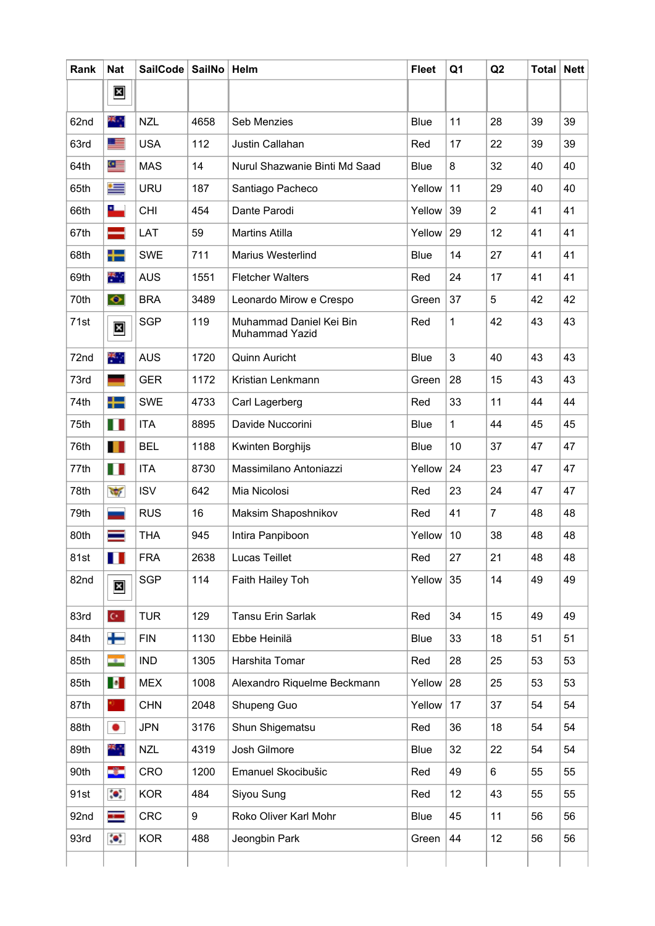| Rank | <b>Nat</b>                | <b>SailCode</b> | <b>SailNo</b> | Helm                                      | <b>Fleet</b> | Q <sub>1</sub> | Q2             | <b>Total</b> | <b>Nett</b> |
|------|---------------------------|-----------------|---------------|-------------------------------------------|--------------|----------------|----------------|--------------|-------------|
|      | $\mathbf{x}$              |                 |               |                                           |              |                |                |              |             |
| 62nd | ж.,                       | <b>NZL</b>      | 4658          | Seb Menzies                               | <b>Blue</b>  | 11             | 28             | 39           | 39          |
| 63rd | <u>e se</u>               | <b>USA</b>      | 112           | Justin Callahan                           | Red          | 17             | 22             | 39           | 39          |
| 64th | $\bullet$ $\equiv$        | <b>MAS</b>      | 14            | Nurul Shazwanie Binti Md Saad             | <b>Blue</b>  | 8              | 32             | 40           | 40          |
| 65th | ⋐                         | <b>URU</b>      | 187           | Santiago Pacheco                          | Yellow       | 11             | 29             | 40           | 40          |
| 66th | <u>a – </u>               | <b>CHI</b>      | 454           | Dante Parodi                              | Yellow       | 39             | $\overline{2}$ | 41           | 41          |
| 67th | —                         | LAT             | 59            | <b>Martins Atilla</b>                     | Yellow       | 29             | 12             | 41           | 41          |
| 68th | ╈                         | <b>SWE</b>      | 711           | Marius Westerlind                         | <b>Blue</b>  | 14             | 27             | 41           | 41          |
| 69th | 千里                        | <b>AUS</b>      | 1551          | <b>Fletcher Walters</b>                   | Red          | 24             | 17             | 41           | 41          |
| 70th | $\bullet$                 | <b>BRA</b>      | 3489          | Leonardo Mirow e Crespo                   | Green        | 37             | 5              | 42           | 42          |
| 71st | $\boldsymbol{\mathsf{x}}$ | <b>SGP</b>      | 119           | Muhammad Daniel Kei Bin<br>Muhammad Yazid | Red          | 1              | 42             | 43           | 43          |
| 72nd | 聚合                        | <b>AUS</b>      | 1720          | Quinn Auricht                             | <b>Blue</b>  | 3              | 40             | 43           | 43          |
| 73rd |                           | <b>GER</b>      | 1172          | Kristian Lenkmann                         | Green        | 28             | 15             | 43           | 43          |
| 74th | ┿                         | <b>SWE</b>      | 4733          | Carl Lagerberg                            | Red          | 33             | 11             | 44           | 44          |
| 75th | H I                       | <b>ITA</b>      | 8895          | Davide Nuccorini                          | <b>Blue</b>  | $\mathbf{1}$   | 44             | 45           | 45          |
| 76th | T                         | <b>BEL</b>      | 1188          | Kwinten Borghijs                          | <b>Blue</b>  | 10             | 37             | 47           | 47          |
| 77th | H                         | <b>ITA</b>      | 8730          | Massimilano Antoniazzi                    | Yellow       | 24             | 23             | 47           | 47          |
| 78th | $\frac{1}{2}$             | <b>ISV</b>      | 642           | Mia Nicolosi                              | Red          | 23             | 24             | 47           | 47          |
| 79th |                           | <b>RUS</b>      | 16            | Maksim Shaposhnikov                       | Red          | 41             | $\overline{7}$ | 48           | 48          |
| 80th |                           | <b>THA</b>      | 945           | Intira Panpiboon                          | Yellow       | 10             | 38             | 48           | 48          |
| 81st | Ш                         | <b>FRA</b>      | 2638          | Lucas Teillet                             | Red          | 27             | 21             | 48           | 48          |
| 82nd | $\overline{\mathbf{x}}$   | <b>SGP</b>      | 114           | Faith Hailey Toh                          | Yellow       | 35             | 14             | 49           | 49          |
| 83rd | $\mathbf{C}^{\star}$ .    | <b>TUR</b>      | 129           | Tansu Erin Sarlak                         | Red          | 34             | 15             | 49           | 49          |
| 84th | ┿                         | <b>FIN</b>      | 1130          | Ebbe Heinilä                              | <b>Blue</b>  | 33             | 18             | 51           | 51          |
| 85th | men i                     | <b>IND</b>      | 1305          | Harshita Tomar                            | Red          | 28             | 25             | 53           | 53          |
| 85th | <b>P</b>                  | <b>MEX</b>      | 1008          | Alexandro Riquelme Beckmann               | Yellow       | 28             | 25             | 53           | 53          |
| 87th | 0.                        | <b>CHN</b>      | 2048          | Shupeng Guo                               | Yellow       | 17             | 37             | 54           | 54          |
| 88th | $\bullet$                 | <b>JPN</b>      | 3176          | Shun Shigematsu                           | Red          | 36             | 18             | 54           | 54          |
| 89th | ×.,                       | <b>NZL</b>      | 4319          | Josh Gilmore                              | <b>Blue</b>  | 32             | 22             | 54           | 54          |
| 90th | -3-                       | CRO             | 1200          | Emanuel Skocibušic                        | Red          | 49             | 6              | 55           | 55          |
| 91st | $\bullet$                 | <b>KOR</b>      | 484           | Siyou Sung                                | Red          | 12             | 43             | 55           | 55          |
| 92nd | ш.                        | <b>CRC</b>      | 9             | Roko Oliver Karl Mohr                     | Blue         | 45             | 11             | 56           | 56          |
| 93rd | $\bullet$                 | <b>KOR</b>      | 488           | Jeongbin Park                             | Green        | 44             | 12             | 56           | 56          |
|      |                           |                 |               |                                           |              |                |                |              |             |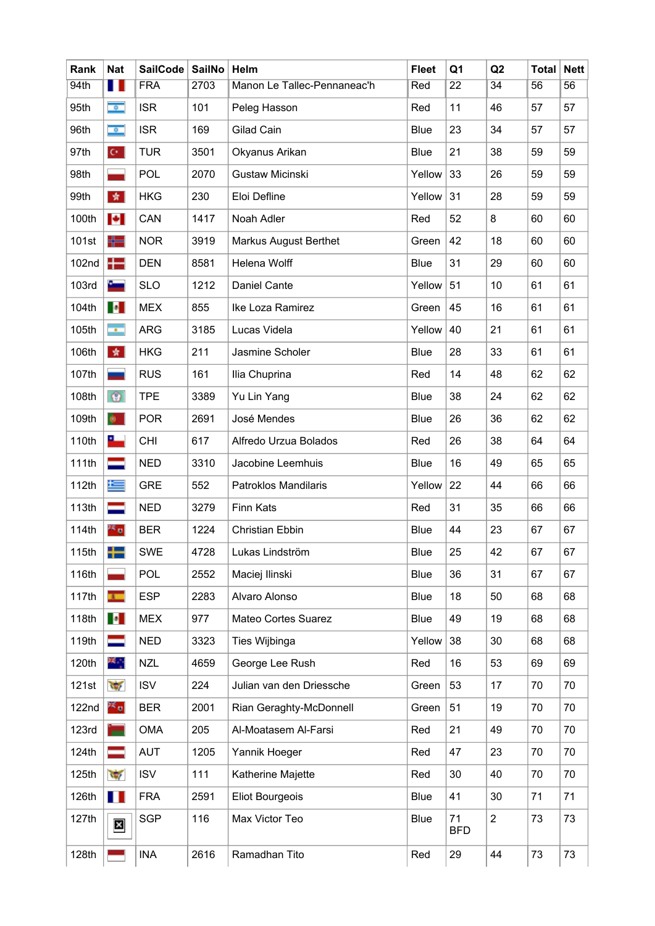| Rank              | <b>Nat</b>               | SailCode   | <b>SailNo</b> | Helm                         | <b>Fleet</b> | Q <sub>1</sub>   | Q2              | <b>Total</b> | <b>Nett</b> |
|-------------------|--------------------------|------------|---------------|------------------------------|--------------|------------------|-----------------|--------------|-------------|
| 94th              | П                        | <b>FRA</b> | 2703          | Manon Le Tallec-Pennaneac'h  | Red          | $\overline{22}$  | $\overline{34}$ | 56           | 56          |
| 95th              | $\bullet$                | <b>ISR</b> | 101           | Peleg Hasson                 | Red          | 11               | 46              | 57           | 57          |
| 96th              | $\sigma$                 | <b>ISR</b> | 169           | Gilad Cain                   | Blue         | 23               | 34              | 57           | 57          |
| 97th              | $\mathbf{C}^{\star}$ .   | <b>TUR</b> | 3501          | Okyanus Arikan               | Blue         | 21               | 38              | 59           | 59          |
| 98th              |                          | <b>POL</b> | 2070          | Gustaw Micinski              | Yellow       | 33               | 26              | 59           | 59          |
| 99th              | 女                        | <b>HKG</b> | 230           | Eloi Defline                 | Yellow       | 31               | 28              | 59           | 59          |
| 100th             | <b>P</b>                 | CAN        | 1417          | Noah Adler                   | Red          | 52               | 8               | 60           | 60          |
| 101st             | ╬═                       | <b>NOR</b> | 3919          | <b>Markus August Berthet</b> | Green        | 42               | 18              | 60           | 60          |
| 102nd             | $\pm$                    | <b>DEN</b> | 8581          | Helena Wolff                 | Blue         | 31               | 29              | 60           | 60          |
| 103rd             | September 2              | <b>SLO</b> | 1212          | <b>Daniel Cante</b>          | Yellow       | 51               | 10              | 61           | 61          |
| 104th             | <b>D</b>                 | <b>MEX</b> | 855           | Ike Loza Ramirez             | Green        | 45               | 16              | 61           | 61          |
| 105th             | $\sim$                   | <b>ARG</b> | 3185          | Lucas Videla                 | Yellow       | 40               | 21              | 61           | 61          |
| 106th             | 女                        | <b>HKG</b> | 211           | Jasmine Scholer              | Blue         | 28               | 33              | 61           | 61          |
| 107th             |                          | <b>RUS</b> | 161           | Ilia Chuprina                | Red          | 14               | 48              | 62           | 62          |
| 108th             | $\circ$                  | <b>TPE</b> | 3389          | Yu Lin Yang                  | <b>Blue</b>  | 38               | 24              | 62           | 62          |
| 109th             | $\bullet$                | <b>POR</b> | 2691          | José Mendes                  | <b>Blue</b>  | 26               | 36              | 62           | 62          |
| 110th             | ┺═                       | CHI        | 617           | Alfredo Urzua Bolados        | Red          | 26               | 38              | 64           | 64          |
| 111th             | ═                        | <b>NED</b> | 3310          | Jacobine Leemhuis            | Blue         | 16               | 49              | 65           | 65          |
| 112th             | 隼                        | <b>GRE</b> | 552           | Patroklos Mandilaris         | Yellow       | 22               | 44              | 66           | 66          |
| 113th             | ᆖ                        | <b>NED</b> | 3279          | <b>Finn Kats</b>             | Red          | 31               | 35              | 66           | 66          |
| 114th             | eš,                      | <b>BER</b> | 1224          | <b>Christian Ebbin</b>       | Blue         | 44               | 23              | 67           | 67          |
| 115th             | n m<br><b>DE BAR</b>     | <b>SWE</b> | 4728          | Lukas Lindström              | Blue         | 25               | 42              | 67           | 67          |
| 116th             |                          | <b>POL</b> | 2552          | Maciej Ilinski               | Blue         | 36               | 31              | 67           | 67          |
| 117th             | $\overline{1}$           | <b>ESP</b> | 2283          | Alvaro Alonso                | Blue         | 18               | 50              | 68           | 68          |
| 118th             | <b>P</b>                 | <b>MEX</b> | 977           | Mateo Cortes Suarez          | Blue         | 49               | 19              | 68           | 68          |
| 119th             | ▀                        | <b>NED</b> | 3323          | Ties Wijbinga                | Yellow       | 38               | 30              | 68           | 68          |
| 120th             | ж.,                      | <b>NZL</b> | 4659          | George Lee Rush              | Red          | 16               | 53              | 69           | 69          |
| 121st             | $\frac{1}{2}$            | <b>ISV</b> | 224           | Julian van den Driessche     | Green        | 53               | 17              | 70           | 70          |
| 122 <sub>nd</sub> | 26 a                     | <b>BER</b> | 2001          | Rian Geraghty-McDonnell      | Green        | 51               | 19              | 70           | 70          |
| 123rd             | Ξ                        | <b>OMA</b> | 205           | Al-Moatasem Al-Farsi         | Red          | 21               | 49              | 70           | 70          |
| 124th             |                          | <b>AUT</b> | 1205          | Yannik Hoeger                | Red          | 47               | 23              | 70           | 70          |
| 125th             | $\overline{\mathcal{M}}$ | <b>ISV</b> | 111           | Katherine Majette            | Red          | 30               | 40              | 70           | 70          |
| 126th             | H                        | <b>FRA</b> | 2591          | <b>Eliot Bourgeois</b>       | Blue         | 41               | 30              | 71           | 71          |
| 127th             | $\overline{\mathbf{x}}$  | <b>SGP</b> | 116           | Max Victor Teo               | Blue         | 71<br><b>BFD</b> | $\overline{2}$  | 73           | 73          |
| 128th             |                          | <b>INA</b> | 2616          | Ramadhan Tito                | Red          | 29               | 44              | 73           | 73          |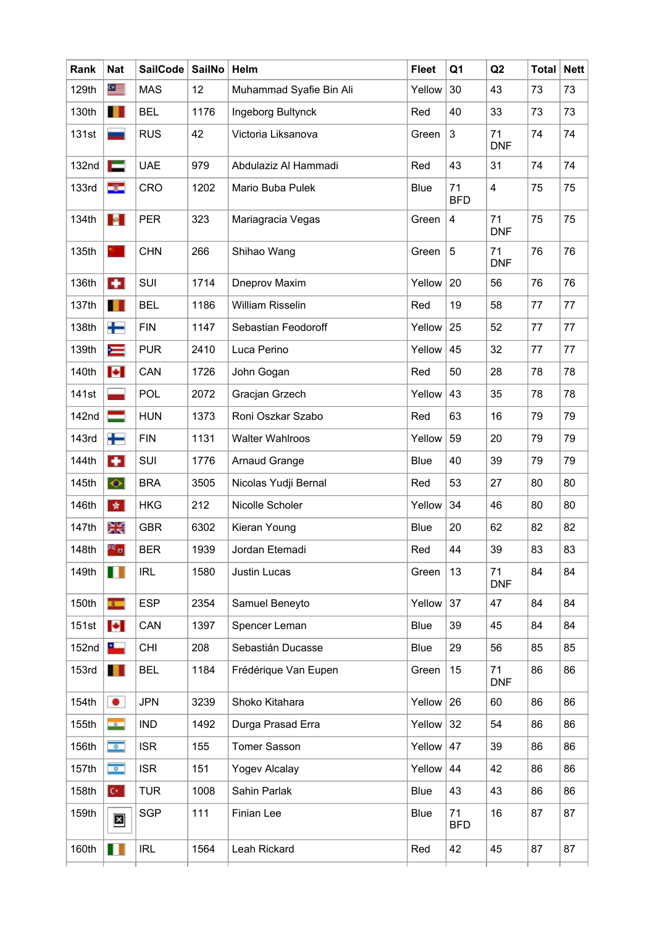| Rank              | <b>Nat</b>                 | SailCode   | SailNo | Helm                    | <b>Fleet</b> | Q <sub>1</sub>   | Q2                      | <b>Total</b> | <b>Nett</b> |
|-------------------|----------------------------|------------|--------|-------------------------|--------------|------------------|-------------------------|--------------|-------------|
| 129th             | $\bullet \equiv$           | <b>MAS</b> | 12     | Muhammad Syafie Bin Ali | Yellow       | 30               | 43                      | 73           | 73          |
| 130th             | Ш                          | <b>BEL</b> | 1176   | Ingeborg Bultynck       | Red          | 40               | 33                      | 73           | 73          |
| 131st             |                            | <b>RUS</b> | 42     | Victoria Liksanova      | Green        | $\mathfrak{S}$   | 71<br><b>DNF</b>        | 74           | 74          |
| 132 <sub>nd</sub> | <b>The Second Second</b>   | <b>UAE</b> | 979    | Abdulaziz Al Hammadi    | Red          | 43               | 31                      | 74           | 74          |
| <b>133rd</b>      | -3-                        | CRO        | 1202   | Mario Buba Pulek        | <b>Blue</b>  | 71<br><b>BFD</b> | $\overline{\mathbf{4}}$ | 75           | 75          |
| 134th             | $\mathbf{R}_{\mathrm{in}}$ | <b>PER</b> | 323    | Mariagracia Vegas       | Green        | 4                | 71<br><b>DNF</b>        | 75           | 75          |
| 135th             | <b>KG</b> 11               | <b>CHN</b> | 266    | Shihao Wang             | Green        | $5\phantom{.0}$  | 71<br><b>DNF</b>        | 76           | 76          |
| 136th             | $\bullet$                  | SUI        | 1714   | Dneprov Maxim           | Yellow       | 20               | 56                      | 76           | 76          |
| 137th             | H                          | <b>BEL</b> | 1186   | <b>William Risselin</b> | Red          | 19               | 58                      | 77           | 77          |
| 138th             | ┿                          | <b>FIN</b> | 1147   | Sebastian Feodoroff     | Yellow       | 25               | 52                      | 77           | 77          |
| 139th             | Ň                          | <b>PUR</b> | 2410   | Luca Perino             | Yellow       | 45               | 32                      | 77           | 77          |
| 140th             | $\left  \bullet \right $   | CAN        | 1726   | John Gogan              | Red          | 50               | 28                      | 78           | 78          |
| 141st             |                            | <b>POL</b> | 2072   | Gracjan Grzech          | Yellow       | 43               | 35                      | 78           | 78          |
| 142nd             | =                          | <b>HUN</b> | 1373   | Roni Oszkar Szabo       | Red          | 63               | 16                      | 79           | 79          |
| <b>143rd</b>      | ┿                          | <b>FIN</b> | 1131   | <b>Walter Wahlroos</b>  | Yellow       | 59               | 20                      | 79           | 79          |
| 144th             | $\bullet$                  | SUI        | 1776   | Arnaud Grange           | <b>Blue</b>  | 40               | 39                      | 79           | 79          |
| 145th             | $\bullet$                  | <b>BRA</b> | 3505   | Nicolas Yudji Bernal    | Red          | 53               | 27                      | 80           | 80          |
| 146th             | 紫                          | <b>HKG</b> | 212    | Nicolle Scholer         | Yellow       | 34               | 46                      | 80           | 80          |
| 147th             | ЖŠ                         | <b>GBR</b> | 6302   | Kieran Young            | <b>Blue</b>  | 20               | 62                      | 82           | 82          |
| 148th             | 26 a                       | <b>BER</b> | 1939   | Jordan Etemadi          | Red          | 44               | 39                      | 83           | 83          |
| 149th             | Ш                          | <b>IRL</b> | 1580   | Justin Lucas            | Green        | 13               | 71<br><b>DNF</b>        | 84           | 84          |
| 150th             | $\mathbf{r}$               | <b>ESP</b> | 2354   | Samuel Beneyto          | Yellow       | 37               | 47                      | 84           | 84          |
| 151st             | $\left  \bullet \right $   | CAN        | 1397   | Spencer Leman           | <b>Blue</b>  | 39               | 45                      | 84           | 84          |
| 152 <sub>nd</sub> | $\frac{1}{2}$              | <b>CHI</b> | 208    | Sebastián Ducasse       | Blue         | 29               | 56                      | 85           | 85          |
| 153rd             | H                          | <b>BEL</b> | 1184   | Frédérique Van Eupen    | Green        | 15               | 71<br><b>DNF</b>        | 86           | 86          |
| 154th             | $\bullet$                  | <b>JPN</b> | 3239   | Shoko Kitahara          | Yellow       | 26               | 60                      | 86           | 86          |
| 155th             | <b>HE GIA</b>              | <b>IND</b> | 1492   | Durga Prasad Erra       | Yellow       | 32               | 54                      | 86           | 86          |
| 156th             | $\phi$                     | <b>ISR</b> | 155    | <b>Tomer Sasson</b>     | Yellow       | 47               | 39                      | 86           | 86          |
| 157th             | $\bullet$                  | <b>ISR</b> | 151    | Yogev Alcalay           | Yellow       | 44               | 42                      | 86           | 86          |
| 158th             | $\mathbf{C}^{\star}$ .     | <b>TUR</b> | 1008   | Sahin Parlak            | Blue         | 43               | 43                      | 86           | 86          |
| 159th             | $\overline{\mathbf{x}}$    | <b>SGP</b> | 111    | Finian Lee              | Blue         | 71<br><b>BFD</b> | 16                      | 87           | 87          |
| 160th             | ш                          | <b>IRL</b> | 1564   | Leah Rickard            | Red          | 42               | 45                      | 87           | 87          |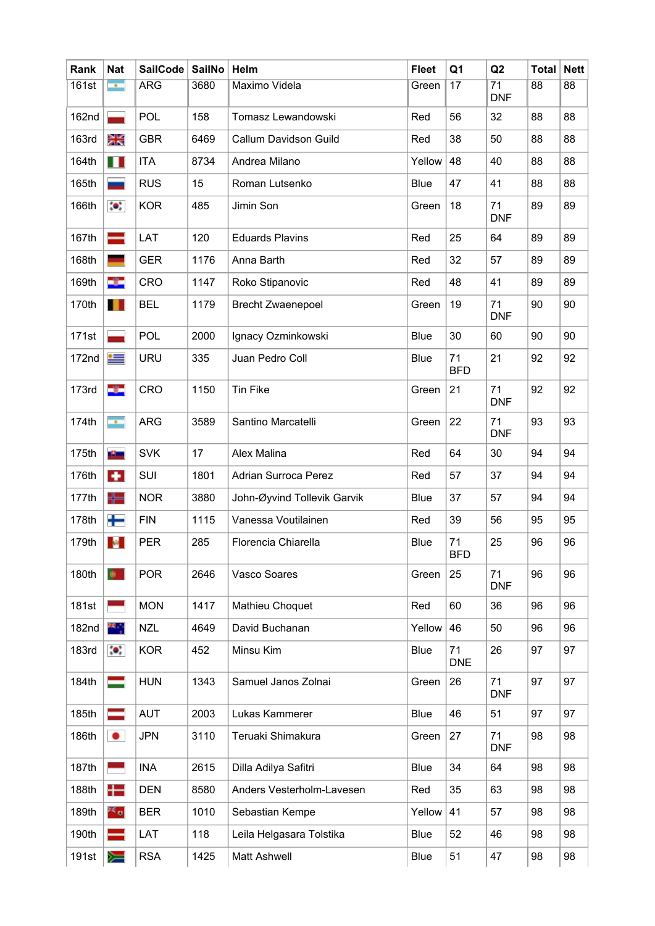| Rank         | <b>Nat</b>                  | <b>SailCode</b> | <b>SailNo</b> | Helm                        | <b>Fleet</b> | Q <sub>1</sub>   | Q2                            | <b>Total</b> | <b>Nett</b> |
|--------------|-----------------------------|-----------------|---------------|-----------------------------|--------------|------------------|-------------------------------|--------------|-------------|
| 161st        | $\sim$                      | <b>ARG</b>      | 3680          | Maximo Videla               | Green        | 17               | $\overline{71}$<br><b>DNF</b> | 88           | 88          |
| 162nd        |                             | <b>POL</b>      | 158           | Tomasz Lewandowski          | Red          | 56               | 32                            | 88           | 88          |
| <b>163rd</b> | Ж                           | <b>GBR</b>      | 6469          | Callum Davidson Guild       | Red          | 38               | 50                            | 88           | 88          |
| 164th        | H                           | <b>ITA</b>      | 8734          | Andrea Milano               | Yellow       | 48               | 40                            | 88           | 88          |
| 165th        |                             | <b>RUS</b>      | 15            | Roman Lutsenko              | Blue         | 47               | 41                            | 88           | 88          |
| 166th        | $\bullet$                   | <b>KOR</b>      | 485           | Jimin Son                   | Green        | 18               | 71<br><b>DNF</b>              | 89           | 89          |
| 167th        | =                           | LAT             | 120           | <b>Eduards Plavins</b>      | Red          | 25               | 64                            | 89           | 89          |
| 168th        |                             | <b>GER</b>      | 1176          | Anna Barth                  | Red          | 32               | 57                            | 89           | 89          |
| 169th        | ÷                           | CRO             | 1147          | Roko Stipanovic             | Red          | 48               | 41                            | 89           | 89          |
| 170th        | H                           | <b>BEL</b>      | 1179          | <b>Brecht Zwaenepoel</b>    | Green        | 19               | 71<br><b>DNF</b>              | 90           | 90          |
| 171st        |                             | POL             | 2000          | Ignacy Ozminkowski          | Blue         | 30               | 60                            | 90           | 90          |
| 172nd        | ≔                           | <b>URU</b>      | 335           | Juan Pedro Coll             | <b>Blue</b>  | 71<br><b>BFD</b> | 21                            | 92           | 92          |
| <b>173rd</b> | -3-                         | CRO             | 1150          | <b>Tin Fike</b>             | Green        | 21               | 71<br><b>DNF</b>              | 92           | 92          |
| 174th        | $\mathcal{L}_{\mathcal{A}}$ | <b>ARG</b>      | 3589          | Santino Marcatelli          | Green        | 22               | 71<br><b>DNF</b>              | 93           | 93          |
| 175th        | <b>Bishma</b>               | <b>SVK</b>      | 17            | Alex Malina                 | Red          | 64               | 30                            | 94           | 94          |
| 176th        | $\bullet$                   | SUI             | 1801          | <b>Adrian Surroca Perez</b> | Red          | 57               | 37                            | 94           | 94          |
| 177th        | ╬═                          | <b>NOR</b>      | 3880          | John-Øyvind Tollevik Garvik | Blue         | 37               | 57                            | 94           | 94          |
| 178th        | ┿                           | <b>FIN</b>      | 1115          | Vanessa Voutilainen         | Red          | 39               | 56                            | 95           | 95          |
| 179th        | $\mathfrak{g}_{\mathbb{C}}$ | <b>PER</b>      | 285           | Florencia Chiarella         | <b>Blue</b>  | 71<br><b>BFD</b> | 25                            | 96           | 96          |
| 180th        |                             | <b>POR</b>      | 2646          | Vasco Soares                | Green        | 25               | 71<br><b>DNF</b>              | 96           | 96          |
| 181st        |                             | <b>MON</b>      | 1417          | Mathieu Choquet             | Red          | 60               | 36                            | 96           | 96          |
| 182nd        | 부모                          | <b>NZL</b>      | 4649          | David Buchanan              | Yellow       | 46               | 50                            | 96           | 96          |
| <b>183rd</b> | $\bullet$                   | <b>KOR</b>      | 452           | Minsu Kim                   | Blue         | 71<br><b>DNE</b> | 26                            | 97           | 97          |
| 184th        |                             | <b>HUN</b>      | 1343          | Samuel Janos Zolnai         | Green        | 26               | 71<br><b>DNF</b>              | 97           | 97          |
| 185th        |                             | <b>AUT</b>      | 2003          | Lukas Kammerer              | Blue         | 46               | 51                            | 97           | 97          |
| 186th        | $\bullet$                   | <b>JPN</b>      | 3110          | Teruaki Shimakura           | Green        | 27               | 71<br><b>DNF</b>              | 98           | 98          |
| 187th        |                             | <b>INA</b>      | 2615          | Dilla Adilya Safitri        | Blue         | 34               | 64                            | 98           | 98          |
| 188th        | ╋═                          | <b>DEN</b>      | 8580          | Anders Vesterholm-Lavesen   | Red          | 35               | 63                            | 98           | 98          |
| 189th        | 26 a                        | <b>BER</b>      | 1010          | Sebastian Kempe             | Yellow       | 41               | 57                            | 98           | 98          |
| 190th        | -                           | LAT             | 118           | Leila Helgasara Tolstika    | <b>Blue</b>  | 52               | 46                            | 98           | 98          |
| 191st        | ≽                           | <b>RSA</b>      | 1425          | Matt Ashwell                | Blue         | 51               | 47                            | 98           | 98          |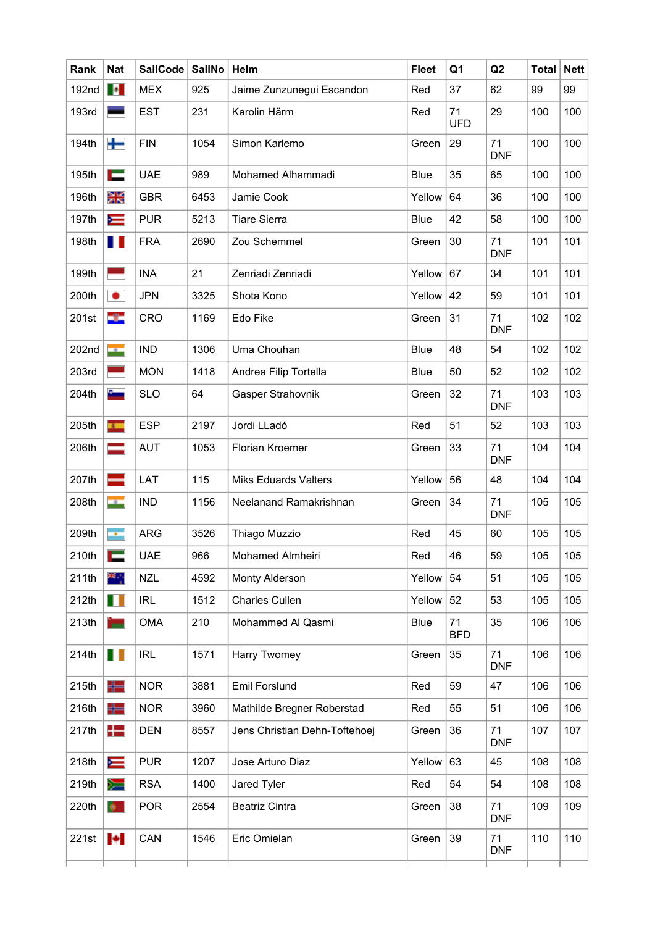| Rank  | <b>Nat</b>               | <b>SailCode</b> | <b>SailNo</b> | Helm                          | <b>Fleet</b> | Q <sub>1</sub>   | Q2               | <b>Total</b> | <b>Nett</b> |
|-------|--------------------------|-----------------|---------------|-------------------------------|--------------|------------------|------------------|--------------|-------------|
| 192nd | $\bullet$                | <b>MEX</b>      | 925           | Jaime Zunzunegui Escandon     | Red          | 37               | 62               | 99           | 99          |
| 193rd |                          | <b>EST</b>      | 231           | Karolin Härm                  | Red          | 71<br><b>UFD</b> | 29               | 100          | 100         |
| 194th | ╈                        | <b>FIN</b>      | 1054          | Simon Karlemo                 | Green        | 29               | 71<br><b>DNF</b> | 100          | 100         |
| 195th | i –                      | <b>UAE</b>      | 989           | Mohamed Alhammadi             | Blue         | 35               | 65               | 100          | 100         |
| 196th | Ж                        | <b>GBR</b>      | 6453          | Jamie Cook                    | Yellow       | 64               | 36               | 100          | 100         |
| 197th | ⋿                        | <b>PUR</b>      | 5213          | <b>Tiare Sierra</b>           | Blue         | 42               | 58               | 100          | 100         |
| 198th | H                        | <b>FRA</b>      | 2690          | Zou Schemmel                  | Green        | 30               | 71<br><b>DNF</b> | 101          | 101         |
| 199th | Ξ                        | <b>INA</b>      | 21            | Zenriadi Zenriadi             | Yellow       | 67               | 34               | 101          | 101         |
| 200th | $\bullet$                | <b>JPN</b>      | 3325          | Shota Kono                    | Yellow       | 42               | 59               | 101          | 101         |
| 201st | -3                       | CRO             | 1169          | Edo Fike                      | Green        | 31               | 71<br><b>DNF</b> | 102          | 102         |
| 202nd | <b>SER</b>               | <b>IND</b>      | 1306          | Uma Chouhan                   | Blue         | 48               | 54               | 102          | 102         |
| 203rd |                          | <b>MON</b>      | 1418          | Andrea Filip Tortella         | Blue         | 50               | 52               | 102          | 102         |
| 204th |                          | <b>SLO</b>      | 64            | Gasper Strahovnik             | Green        | 32               | 71<br><b>DNF</b> | 103          | 103         |
| 205th | $\overline{1}$           | <b>ESP</b>      | 2197          | Jordi LLadó                   | Red          | 51               | 52               | 103          | 103         |
| 206th |                          | <b>AUT</b>      | 1053          | Florian Kroemer               | Green        | 33               | 71<br><b>DNF</b> | 104          | 104         |
| 207th | -                        | LAT             | 115           | <b>Miks Eduards Valters</b>   | Yellow       | 56               | 48               | 104          | 104         |
| 208th | <b>Card</b>              | <b>IND</b>      | 1156          | Neelanand Ramakrishnan        | Green        | 34               | 71<br><b>DNF</b> | 105          | 105         |
| 209th | ×.                       | <b>ARG</b>      | 3526          | Thiago Muzzio                 | Red          | 45               | 60               | 105          | 105         |
| 210th | E                        | <b>UAE</b>      | 966           | Mohamed Almheiri              | Red          | 46               | 59               | 105          | 105         |
| 211th | ¥.,                      | <b>NZL</b>      | 4592          | Monty Alderson                | Yellow       | 54               | 51               | 105          | 105         |
| 212th | H                        | <b>IRL</b>      | 1512          | Charles Cullen                | Yellow       | 52               | 53               | 105          | 105         |
| 213th | m                        | <b>OMA</b>      | 210           | Mohammed Al Qasmi             | <b>Blue</b>  | 71<br><b>BFD</b> | 35               | 106          | 106         |
| 214th | H                        | <b>IRL</b>      | 1571          | Harry Twomey                  | Green        | 35               | 71<br><b>DNF</b> | 106          | 106         |
| 215th | ╬═                       | <b>NOR</b>      | 3881          | <b>Emil Forslund</b>          | Red          | 59               | 47               | 106          | 106         |
| 216th | ╬═                       | <b>NOR</b>      | 3960          | Mathilde Bregner Roberstad    | Red          | 55               | 51               | 106          | 106         |
| 217th | $\pm$                    | <b>DEN</b>      | 8557          | Jens Christian Dehn-Toftehoej | Green        | 36               | 71<br><b>DNF</b> | 107          | 107         |
| 218th | $\equiv$                 | <b>PUR</b>      | 1207          | Jose Arturo Diaz              | Yellow       | 63               | 45               | 108          | 108         |
| 219th | ▓                        | <b>RSA</b>      | 1400          | Jared Tyler                   | Red          | 54               | 54               | 108          | 108         |
| 220th | $\bullet$                | <b>POR</b>      | 2554          | <b>Beatriz Cintra</b>         | Green        | 38               | 71<br><b>DNF</b> | 109          | 109         |
| 221st | $\left  \bullet \right $ | CAN             | 1546          | Eric Omielan                  | Green        | 39               | 71<br><b>DNF</b> | 110          | 110         |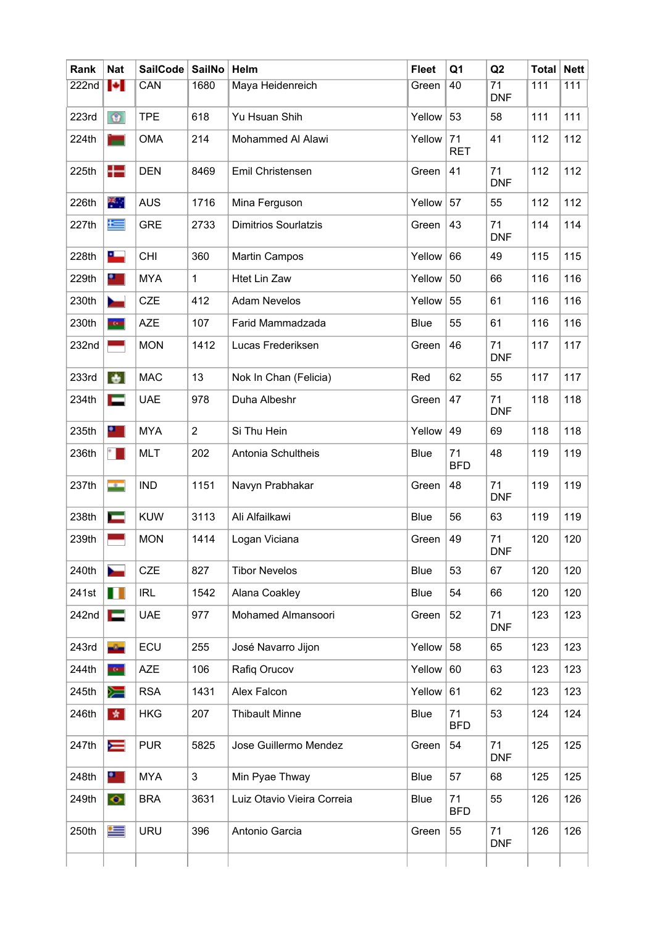| Rank              | <b>Nat</b>               | <b>SailCode</b> | <b>SailNo</b>  | Helm                        | <b>Fleet</b> | Q <sub>1</sub>   | Q2                            | <b>Total</b> | <b>Nett</b> |
|-------------------|--------------------------|-----------------|----------------|-----------------------------|--------------|------------------|-------------------------------|--------------|-------------|
| 222n <sub>d</sub> | $\left  \bullet \right $ | CAN             | 1680           | Maya Heidenreich            | Green        | 40               | $\overline{71}$<br><b>DNF</b> | 111          | 111         |
| 223rd             | $\bullet$                | <b>TPE</b>      | 618            | Yu Hsuan Shih               | Yellow       | 53               | 58                            | 111          | 111         |
| 224th             | ▬                        | <b>OMA</b>      | 214            | Mohammed Al Alawi           | Yellow       | 71<br><b>RET</b> | 41                            | 112          | 112         |
| 225th             | $\pm$                    | <b>DEN</b>      | 8469           | Emil Christensen            | Green        | 41               | 71<br><b>DNF</b>              | 112          | 112         |
| 226th             | 半。                       | <b>AUS</b>      | 1716           | Mina Ferguson               | Yellow       | 57               | 55                            | 112          | 112         |
| 227th             | $\pm$                    | <b>GRE</b>      | 2733           | <b>Dimitrios Sourlatzis</b> | Green        | 43               | 71<br><b>DNF</b>              | 114          | 114         |
| 228th             | 25.                      | CHI             | 360            | <b>Martin Campos</b>        | Yellow       | 66               | 49                            | 115          | 115         |
| 229th             | $\bullet$                | <b>MYA</b>      | 1              | <b>Htet Lin Zaw</b>         | Yellow       | 50               | 66                            | 116          | 116         |
| 230th             | $\overline{\phantom{a}}$ | <b>CZE</b>      | 412            | <b>Adam Nevelos</b>         | Yellow       | 55               | 61                            | 116          | 116         |
| 230th             | tom                      | <b>AZE</b>      | 107            | Farid Mammadzada            | Blue         | 55               | 61                            | 116          | 116         |
| 232nd             |                          | <b>MON</b>      | 1412           | Lucas Frederiksen           | Green        | 46               | 71<br><b>DNF</b>              | 117          | 117         |
| 233rd             | ÷                        | <b>MAC</b>      | 13             | Nok In Chan (Felicia)       | Red          | 62               | 55                            | 117          | 117         |
| 234th             | с                        | <b>UAE</b>      | 978            | Duha Albeshr                | Green        | 47               | 71<br><b>DNF</b>              | 118          | 118         |
| 235th             | $\bullet$                | <b>MYA</b>      | $\overline{2}$ | Si Thu Hein                 | Yellow       | 49               | 69                            | 118          | 118         |
| 236th             | <b>P. L.</b>             | <b>MLT</b>      | 202            | Antonia Schultheis          | <b>Blue</b>  | 71<br><b>BFD</b> | 48                            | 119          | 119         |
| 237th             | me pon                   | <b>IND</b>      | 1151           | Navyn Prabhakar             | Green        | 48               | 71<br><b>DNF</b>              | 119          | 119         |
| 238th             | $\blacksquare$           | <b>KUW</b>      | 3113           | Ali Alfailkawi              | Blue         | 56               | 63                            | 119          | 119         |
| 239th             |                          | <b>MON</b>      | 1414           | Logan Viciana               | Green        | 49               | 71<br><b>DNF</b>              | 120          | 120         |
| 240th             |                          | CZE             | 827            | <b>Tibor Nevelos</b>        | Blue         | 53               | 67                            | 120          | 120         |
| 241st             | $\blacksquare$           | <b>IRL</b>      | 1542           | Alana Coakley               | Blue         | 54               | 66                            | 120          | 120         |
| 242nd             | E                        | <b>UAE</b>      | 977            | Mohamed Almansoori          | Green        | 52               | 71<br><b>DNF</b>              | 123          | 123         |
| 243rd             | $\sigma_{\rm m}$         | ECU             | 255            | José Navarro Jijon          | Yellow       | 58               | 65                            | 123          | 123         |
| 244th             | <b>EGNI</b>              | <b>AZE</b>      | 106            | Rafiq Orucov                | Yellow       | 60               | 63                            | 123          | 123         |
| 245th             | ▓                        | <b>RSA</b>      | 1431           | Alex Falcon                 | Yellow       | 61               | 62                            | 123          | 123         |
| 246th             | 女                        | <b>HKG</b>      | 207            | <b>Thibault Minne</b>       | Blue         | 71<br><b>BFD</b> | 53                            | 124          | 124         |
| 247th             | N                        | <b>PUR</b>      | 5825           | Jose Guillermo Mendez       | Green        | 54               | 71<br><b>DNF</b>              | 125          | 125         |
| 248th             | $\bullet$ .              | <b>MYA</b>      | $\mathfrak{S}$ | Min Pyae Thway              | Blue         | 57               | 68                            | 125          | 125         |
| 249th             | $\bullet$                | <b>BRA</b>      | 3631           | Luiz Otavio Vieira Correia  | Blue         | 71<br><b>BFD</b> | 55                            | 126          | 126         |
| 250th             | ≝                        | <b>URU</b>      | 396            | Antonio Garcia              | Green        | 55               | 71<br><b>DNF</b>              | 126          | 126         |
|                   |                          |                 |                |                             |              |                  |                               |              |             |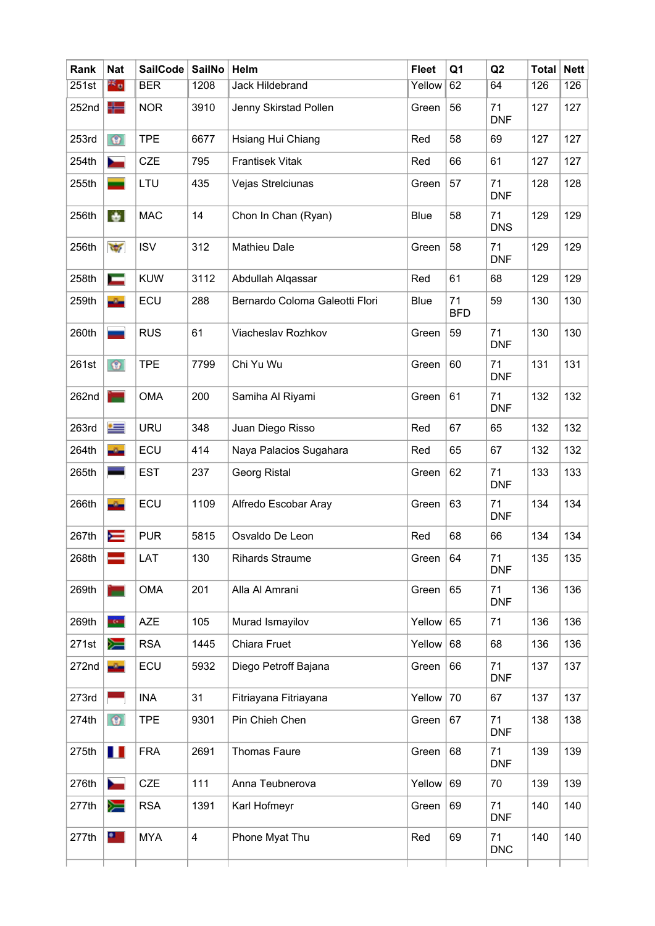| Rank  | <b>Nat</b>               | <b>SailCode</b> | <b>SailNo</b>           | Helm                           | <b>Fleet</b> | Q <sub>1</sub>   | Q2               | <b>Total</b> | <b>Nett</b> |
|-------|--------------------------|-----------------|-------------------------|--------------------------------|--------------|------------------|------------------|--------------|-------------|
| 251st | ≥≤ o                     | <b>BER</b>      | 1208                    | Jack Hildebrand                | Yellow       | 62               | 64               | 126          | 126         |
| 252nd | ╬═                       | <b>NOR</b>      | 3910                    | Jenny Skirstad Pollen          | Green        | 56               | 71<br><b>DNF</b> | 127          | 127         |
| 253rd | $\circledcirc$           | <b>TPE</b>      | 6677                    | Hsiang Hui Chiang              | Red          | 58               | 69               | 127          | 127         |
| 254th | $\overline{\phantom{a}}$ | <b>CZE</b>      | 795                     | <b>Frantisek Vitak</b>         | Red          | 66               | 61               | 127          | 127         |
| 255th | _                        | LTU             | 435                     | Vejas Strelciunas              | Green        | 57               | 71<br><b>DNF</b> | 128          | 128         |
| 256th | ÷.                       | <b>MAC</b>      | 14                      | Chon In Chan (Ryan)            | <b>Blue</b>  | 58               | 71<br><b>DNS</b> | 129          | 129         |
| 256th | $\frac{1}{2}$            | <b>ISV</b>      | 312                     | <b>Mathieu Dale</b>            | Green        | 58               | 71<br><b>DNF</b> | 129          | 129         |
| 258th | Ī                        | <b>KUW</b>      | 3112                    | Abdullah Alqassar              | Red          | 61               | 68               | 129          | 129         |
| 259th | $\alpha$                 | ECU             | 288                     | Bernardo Coloma Galeotti Flori | Blue         | 71<br><b>BFD</b> | 59               | 130          | 130         |
| 260th |                          | <b>RUS</b>      | 61                      | Viacheslav Rozhkov             | Green        | 59               | 71<br><b>DNF</b> | 130          | 130         |
| 261st | $\odot$                  | <b>TPE</b>      | 7799                    | Chi Yu Wu                      | Green        | 60               | 71<br><b>DNF</b> | 131          | 131         |
| 262nd | ۳                        | <b>OMA</b>      | 200                     | Samiha Al Riyami               | Green        | 61               | 71<br><b>DNF</b> | 132          | 132         |
| 263rd | ≔                        | <b>URU</b>      | 348                     | Juan Diego Risso               | Red          | 67               | 65               | 132          | 132         |
| 264th |                          | ECU             | 414                     | Naya Palacios Sugahara         | Red          | 65               | 67               | 132          | 132         |
| 265th |                          | <b>EST</b>      | 237                     | Georg Ristal                   | Green        | 62               | 71<br><b>DNF</b> | 133          | 133         |
| 266th | $\sigma_{\rm m}$         | ECU             | 1109                    | Alfredo Escobar Aray           | Green        | 63               | 71<br><b>DNF</b> | 134          | 134         |
| 267th | ⋿                        | <b>PUR</b>      | 5815                    | Osvaldo De Leon                | Red          | 68               | 66               | 134          | 134         |
| 268th |                          | LAT             | 130                     | <b>Rihards Straume</b>         | Green        | 64               | 71<br><b>DNF</b> | 135          | 135         |
| 269th | е                        | <b>OMA</b>      | 201                     | Alla Al Amrani                 | Green        | 65               | 71<br><b>DNF</b> | 136          | 136         |
| 269th | tom                      | <b>AZE</b>      | 105                     | Murad Ismayilov                | Yellow       | 65               | 71               | 136          | 136         |
| 271st | ≽                        | <b>RSA</b>      | 1445                    | Chiara Fruet                   | Yellow       | 68               | 68               | 136          | 136         |
| 272nd | $\sigma_{\rm m}$         | ECU             | 5932                    | Diego Petroff Bajana           | Green        | 66               | 71<br><b>DNF</b> | 137          | 137         |
| 273rd |                          | <b>INA</b>      | 31                      | Fitriayana Fitriayana          | Yellow       | 70               | 67               | 137          | 137         |
| 274th | $\circ$                  | <b>TPE</b>      | 9301                    | Pin Chieh Chen                 | Green        | 67               | 71<br><b>DNF</b> | 138          | 138         |
| 275th | $\blacksquare$           | <b>FRA</b>      | 2691                    | <b>Thomas Faure</b>            | Green        | 68               | 71<br><b>DNF</b> | 139          | 139         |
| 276th |                          | <b>CZE</b>      | 111                     | Anna Teubnerova                | Yellow       | 69               | 70               | 139          | 139         |
| 277th | ▓                        | <b>RSA</b>      | 1391                    | Karl Hofmeyr                   | Green        | 69               | 71<br><b>DNF</b> | 140          | 140         |
| 277th | $\bullet$                | <b>MYA</b>      | $\overline{\mathbf{4}}$ | Phone Myat Thu                 | Red          | 69               | 71<br><b>DNC</b> | 140          | 140         |